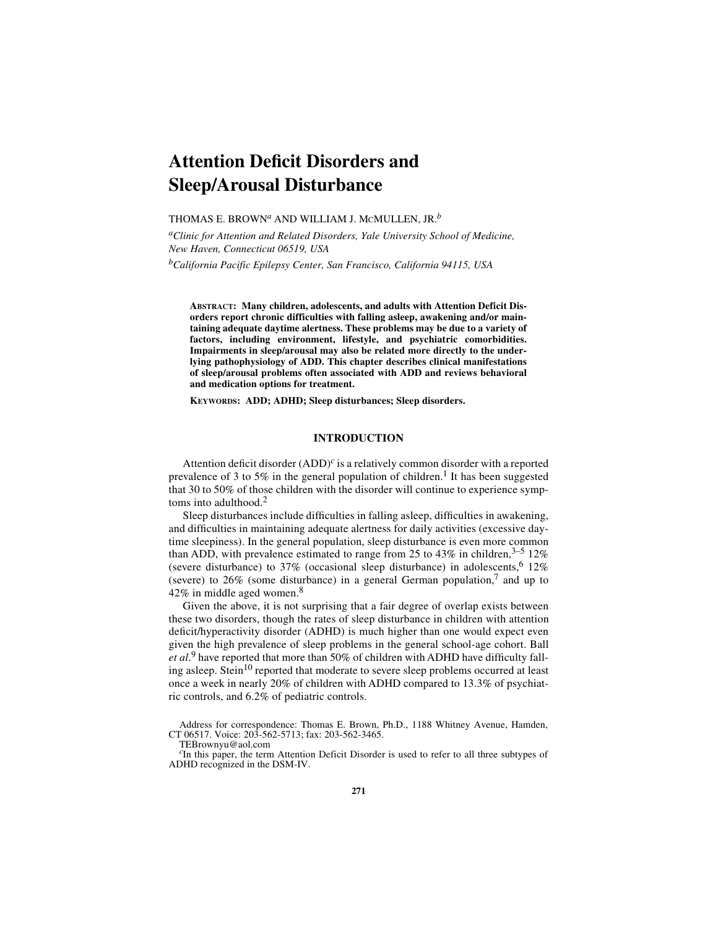# **Attention Deficit Disorders and Sleep/Arousal Disturbance**

THOMAS E. BROWN*a* AND WILLIAM J. MCMULLEN, JR.*<sup>b</sup>*

*aClinic for Attention and Related Disorders, Yale University School of Medicine, New Haven, Connecticut 06519, USA*

*bCalifornia Pacific Epilepsy Center, San Francisco, California 94115, USA*

**ABSTRACT: Many children, adolescents, and adults with Attention Deficit Disorders report chronic difficulties with falling asleep, awakening and/or maintaining adequate daytime alertness. These problems may be due to a variety of factors, including environment, lifestyle, and psychiatric comorbidities. Impairments in sleep/arousal may also be related more directly to the underlying pathophysiology of ADD. This chapter describes clinical manifestations of sleep/arousal problems often associated with ADD and reviews behavioral and medication options for treatment.**

**KEYWORDS: ADD; ADHD; Sleep disturbances; Sleep disorders.**

# **INTRODUCTION**

Attention deficit disorder  $(ADD)^c$  is a relatively common disorder with a reported prevalence of 3 to 5% in the general population of children.<sup>1</sup> It has been suggested that 30 to 50% of those children with the disorder will continue to experience symptoms into adulthood.<sup>2</sup>

Sleep disturbances include difficulties in falling asleep, difficulties in awakening, and difficulties in maintaining adequate alertness for daily activities (excessive daytime sleepiness). In the general population, sleep disturbance is even more common than ADD, with prevalence estimated to range from 25 to 43% in children,  $3-5$  12% (severe disturbance) to 37% (occasional sleep disturbance) in adolescents,  $6\frac{12\%}{12\%}$ (severe) to  $26\%$  (some disturbance) in a general German population,<sup>7</sup> and up to 42% in middle aged women.<sup>8</sup>

Given the above, it is not surprising that a fair degree of overlap exists between these two disorders, though the rates of sleep disturbance in children with attention deficit/hyperactivity disorder (ADHD) is much higher than one would expect even given the high prevalence of sleep problems in the general school-age cohort. Ball *et al*. 9 have reported that more than 50% of children with ADHD have difficulty falling asleep. Stein<sup>10</sup> reported that moderate to severe sleep problems occurred at least once a week in nearly 20% of children with ADHD compared to 13.3% of psychiatric controls, and 6.2% of pediatric controls.

Address for correspondence: Thomas E. Brown, Ph.D., 1188 Whitney Avenue, Hamden, CT 06517. Voice: 203-562-5713; fax: 203-562-3465.

TEBrownyu@aol.com

*<sup>c</sup>*In this paper, the term Attention Deficit Disorder is used to refer to all three subtypes of ADHD recognized in the DSM-IV.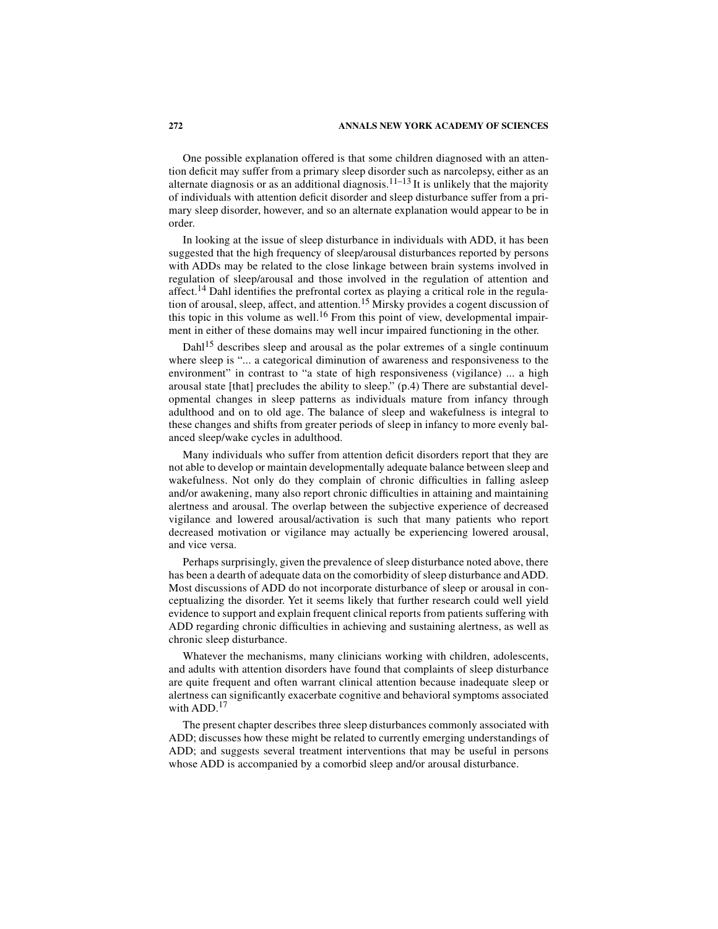One possible explanation offered is that some children diagnosed with an attention deficit may suffer from a primary sleep disorder such as narcolepsy, either as an alternate diagnosis or as an additional diagnosis.<sup>11–13</sup> It is unlikely that the majority of individuals with attention deficit disorder and sleep disturbance suffer from a primary sleep disorder, however, and so an alternate explanation would appear to be in order.

In looking at the issue of sleep disturbance in individuals with ADD, it has been suggested that the high frequency of sleep/arousal disturbances reported by persons with ADDs may be related to the close linkage between brain systems involved in regulation of sleep/arousal and those involved in the regulation of attention and affect.<sup>14</sup> Dahl identifies the prefrontal cortex as playing a critical role in the regulation of arousal, sleep, affect, and attention.15 Mirsky provides a cogent discussion of this topic in this volume as well.<sup>16</sup> From this point of view, developmental impairment in either of these domains may well incur impaired functioning in the other.

Dahl<sup>15</sup> describes sleep and arousal as the polar extremes of a single continuum where sleep is "... a categorical diminution of awareness and responsiveness to the environment" in contrast to "a state of high responsiveness (vigilance) ... a high arousal state [that] precludes the ability to sleep." (p.4) There are substantial developmental changes in sleep patterns as individuals mature from infancy through adulthood and on to old age. The balance of sleep and wakefulness is integral to these changes and shifts from greater periods of sleep in infancy to more evenly balanced sleep/wake cycles in adulthood.

Many individuals who suffer from attention deficit disorders report that they are not able to develop or maintain developmentally adequate balance between sleep and wakefulness. Not only do they complain of chronic difficulties in falling asleep and/or awakening, many also report chronic difficulties in attaining and maintaining alertness and arousal. The overlap between the subjective experience of decreased vigilance and lowered arousal/activation is such that many patients who report decreased motivation or vigilance may actually be experiencing lowered arousal, and vice versa.

Perhaps surprisingly, given the prevalence of sleep disturbance noted above, there has been a dearth of adequate data on the comorbidity of sleep disturbance and ADD. Most discussions of ADD do not incorporate disturbance of sleep or arousal in conceptualizing the disorder. Yet it seems likely that further research could well yield evidence to support and explain frequent clinical reports from patients suffering with ADD regarding chronic difficulties in achieving and sustaining alertness, as well as chronic sleep disturbance.

Whatever the mechanisms, many clinicians working with children, adolescents, and adults with attention disorders have found that complaints of sleep disturbance are quite frequent and often warrant clinical attention because inadequate sleep or alertness can significantly exacerbate cognitive and behavioral symptoms associated with ADD.<sup>17</sup>

The present chapter describes three sleep disturbances commonly associated with ADD; discusses how these might be related to currently emerging understandings of ADD; and suggests several treatment interventions that may be useful in persons whose ADD is accompanied by a comorbid sleep and/or arousal disturbance.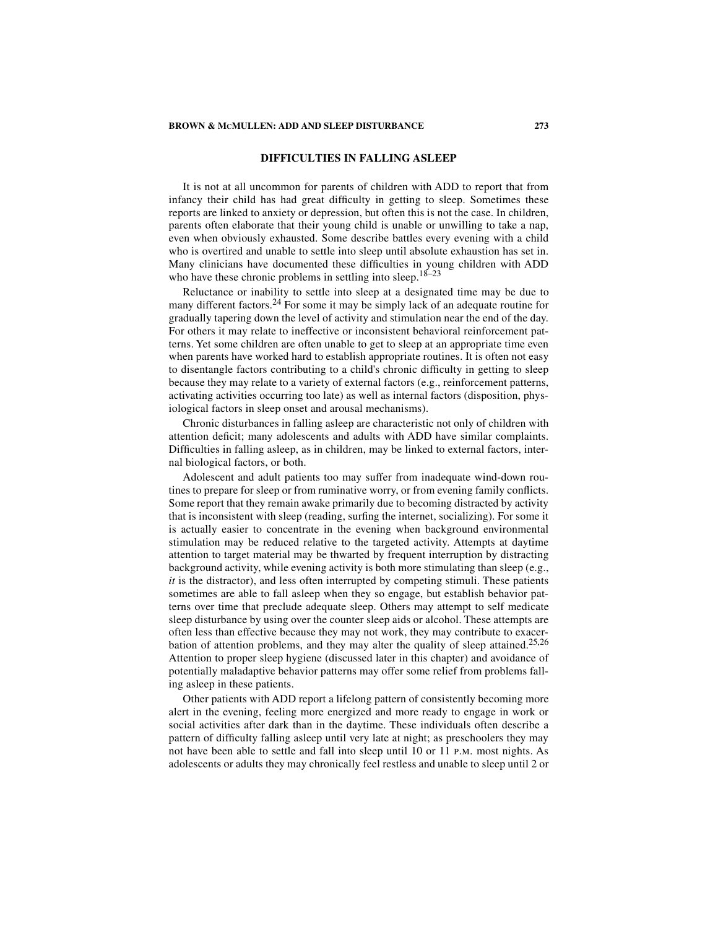### **DIFFICULTIES IN FALLING ASLEEP**

It is not at all uncommon for parents of children with ADD to report that from infancy their child has had great difficulty in getting to sleep. Sometimes these reports are linked to anxiety or depression, but often this is not the case. In children, parents often elaborate that their young child is unable or unwilling to take a nap, even when obviously exhausted. Some describe battles every evening with a child who is overtired and unable to settle into sleep until absolute exhaustion has set in. Many clinicians have documented these difficulties in young children with ADD who have these chronic problems in settling into sleep.<sup>18–23</sup>

Reluctance or inability to settle into sleep at a designated time may be due to many different factors.<sup>24</sup> For some it may be simply lack of an adequate routine for gradually tapering down the level of activity and stimulation near the end of the day. For others it may relate to ineffective or inconsistent behavioral reinforcement patterns. Yet some children are often unable to get to sleep at an appropriate time even when parents have worked hard to establish appropriate routines. It is often not easy to disentangle factors contributing to a child's chronic difficulty in getting to sleep because they may relate to a variety of external factors (e.g., reinforcement patterns, activating activities occurring too late) as well as internal factors (disposition, physiological factors in sleep onset and arousal mechanisms).

Chronic disturbances in falling asleep are characteristic not only of children with attention deficit; many adolescents and adults with ADD have similar complaints. Difficulties in falling asleep, as in children, may be linked to external factors, internal biological factors, or both.

Adolescent and adult patients too may suffer from inadequate wind-down routines to prepare for sleep or from ruminative worry, or from evening family conflicts. Some report that they remain awake primarily due to becoming distracted by activity that is inconsistent with sleep (reading, surfing the internet, socializing). For some it is actually easier to concentrate in the evening when background environmental stimulation may be reduced relative to the targeted activity. Attempts at daytime attention to target material may be thwarted by frequent interruption by distracting background activity, while evening activity is both more stimulating than sleep (e.g., *it* is the distractor), and less often interrupted by competing stimuli. These patients sometimes are able to fall asleep when they so engage, but establish behavior patterns over time that preclude adequate sleep. Others may attempt to self medicate sleep disturbance by using over the counter sleep aids or alcohol. These attempts are often less than effective because they may not work, they may contribute to exacerbation of attention problems, and they may alter the quality of sleep attained.<sup>25,26</sup> Attention to proper sleep hygiene (discussed later in this chapter) and avoidance of potentially maladaptive behavior patterns may offer some relief from problems falling asleep in these patients.

Other patients with ADD report a lifelong pattern of consistently becoming more alert in the evening, feeling more energized and more ready to engage in work or social activities after dark than in the daytime. These individuals often describe a pattern of difficulty falling asleep until very late at night; as preschoolers they may not have been able to settle and fall into sleep until 10 or 11 P.M. most nights. As adolescents or adults they may chronically feel restless and unable to sleep until 2 or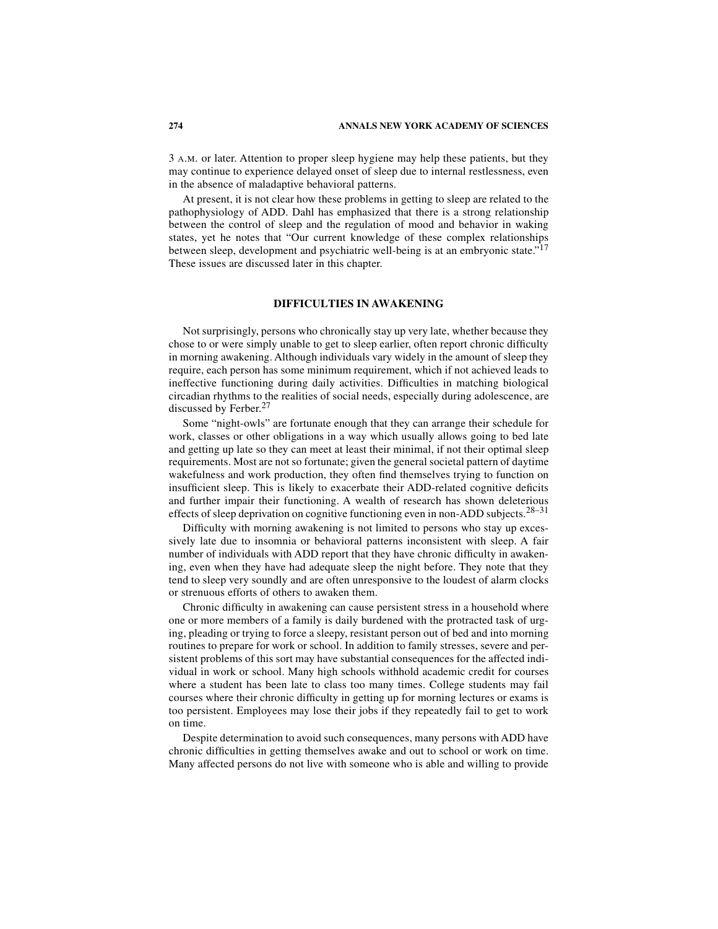3 A.M. or later. Attention to proper sleep hygiene may help these patients, but they may continue to experience delayed onset of sleep due to internal restlessness, even in the absence of maladaptive behavioral patterns.

At present, it is not clear how these problems in getting to sleep are related to the pathophysiology of ADD. Dahl has emphasized that there is a strong relationship between the control of sleep and the regulation of mood and behavior in waking states, yet he notes that "Our current knowledge of these complex relationships between sleep, development and psychiatric well-being is at an embryonic state."<sup>17</sup> These issues are discussed later in this chapter.

# **DIFFICULTIES IN AWAKENING**

Not surprisingly, persons who chronically stay up very late, whether because they chose to or were simply unable to get to sleep earlier, often report chronic difficulty in morning awakening. Although individuals vary widely in the amount of sleep they require, each person has some minimum requirement, which if not achieved leads to ineffective functioning during daily activities. Difficulties in matching biological circadian rhythms to the realities of social needs, especially during adolescence, are discussed by Ferber.<sup>27</sup>

Some "night-owls" are fortunate enough that they can arrange their schedule for work, classes or other obligations in a way which usually allows going to bed late and getting up late so they can meet at least their minimal, if not their optimal sleep requirements. Most are not so fortunate; given the general societal pattern of daytime wakefulness and work production, they often find themselves trying to function on insufficient sleep. This is likely to exacerbate their ADD-related cognitive deficits and further impair their functioning. A wealth of research has shown deleterious effects of sleep deprivation on cognitive functioning even in non-ADD subjects.<sup>28–31</sup>

Difficulty with morning awakening is not limited to persons who stay up excessively late due to insomnia or behavioral patterns inconsistent with sleep. A fair number of individuals with ADD report that they have chronic difficulty in awakening, even when they have had adequate sleep the night before. They note that they tend to sleep very soundly and are often unresponsive to the loudest of alarm clocks or strenuous efforts of others to awaken them.

Chronic difficulty in awakening can cause persistent stress in a household where one or more members of a family is daily burdened with the protracted task of urging, pleading or trying to force a sleepy, resistant person out of bed and into morning routines to prepare for work or school. In addition to family stresses, severe and persistent problems of this sort may have substantial consequences for the affected individual in work or school. Many high schools withhold academic credit for courses where a student has been late to class too many times. College students may fail courses where their chronic difficulty in getting up for morning lectures or exams is too persistent. Employees may lose their jobs if they repeatedly fail to get to work on time.

Despite determination to avoid such consequences, many persons with ADD have chronic difficulties in getting themselves awake and out to school or work on time. Many affected persons do not live with someone who is able and willing to provide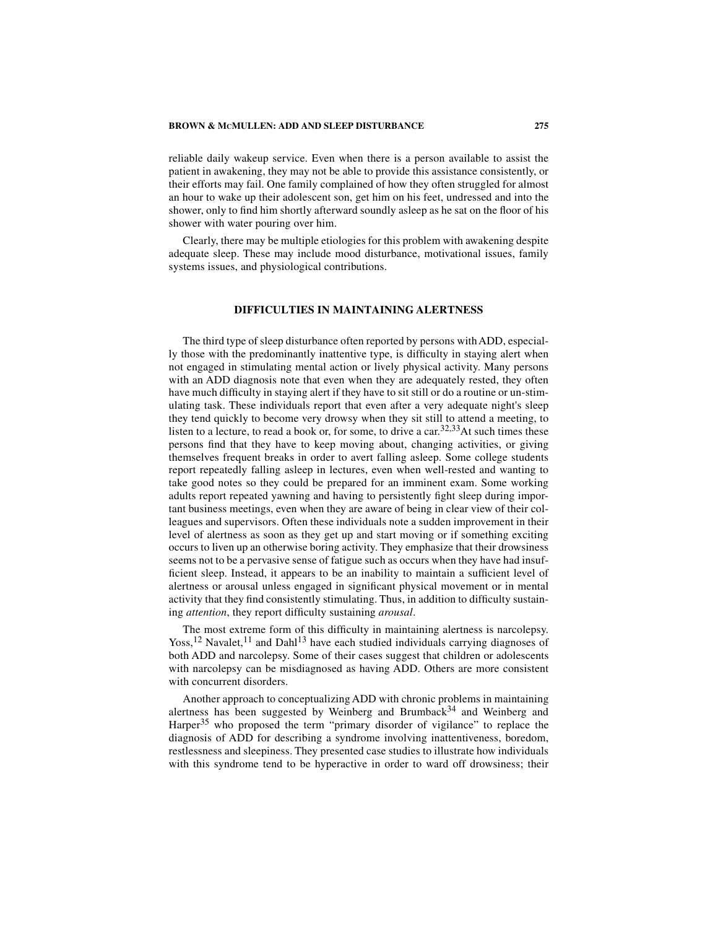reliable daily wakeup service. Even when there is a person available to assist the patient in awakening, they may not be able to provide this assistance consistently, or their efforts may fail. One family complained of how they often struggled for almost an hour to wake up their adolescent son, get him on his feet, undressed and into the shower, only to find him shortly afterward soundly asleep as he sat on the floor of his shower with water pouring over him.

Clearly, there may be multiple etiologies for this problem with awakening despite adequate sleep. These may include mood disturbance, motivational issues, family systems issues, and physiological contributions.

# **DIFFICULTIES IN MAINTAINING ALERTNESS**

The third type of sleep disturbance often reported by persons with ADD, especially those with the predominantly inattentive type, is difficulty in staying alert when not engaged in stimulating mental action or lively physical activity. Many persons with an ADD diagnosis note that even when they are adequately rested, they often have much difficulty in staying alert if they have to sit still or do a routine or un-stimulating task. These individuals report that even after a very adequate night's sleep they tend quickly to become very drowsy when they sit still to attend a meeting, to listen to a lecture, to read a book or, for some, to drive a car.<sup>32,33</sup>At such times these persons find that they have to keep moving about, changing activities, or giving themselves frequent breaks in order to avert falling asleep. Some college students report repeatedly falling asleep in lectures, even when well-rested and wanting to take good notes so they could be prepared for an imminent exam. Some working adults report repeated yawning and having to persistently fight sleep during important business meetings, even when they are aware of being in clear view of their colleagues and supervisors. Often these individuals note a sudden improvement in their level of alertness as soon as they get up and start moving or if something exciting occurs to liven up an otherwise boring activity. They emphasize that their drowsiness seems not to be a pervasive sense of fatigue such as occurs when they have had insufficient sleep. Instead, it appears to be an inability to maintain a sufficient level of alertness or arousal unless engaged in significant physical movement or in mental activity that they find consistently stimulating. Thus, in addition to difficulty sustaining *attention*, they report difficulty sustaining *arousal*.

The most extreme form of this difficulty in maintaining alertness is narcolepsy. Yoss,<sup>12</sup> Navalet,<sup>11</sup> and Dahl<sup>13</sup> have each studied individuals carrying diagnoses of both ADD and narcolepsy. Some of their cases suggest that children or adolescents with narcolepsy can be misdiagnosed as having ADD. Others are more consistent with concurrent disorders.

Another approach to conceptualizing ADD with chronic problems in maintaining alertness has been suggested by Weinberg and Brumback<sup>34</sup> and Weinberg and Harper<sup>35</sup> who proposed the term "primary disorder of vigilance" to replace the diagnosis of ADD for describing a syndrome involving inattentiveness, boredom, restlessness and sleepiness. They presented case studies to illustrate how individuals with this syndrome tend to be hyperactive in order to ward off drowsiness; their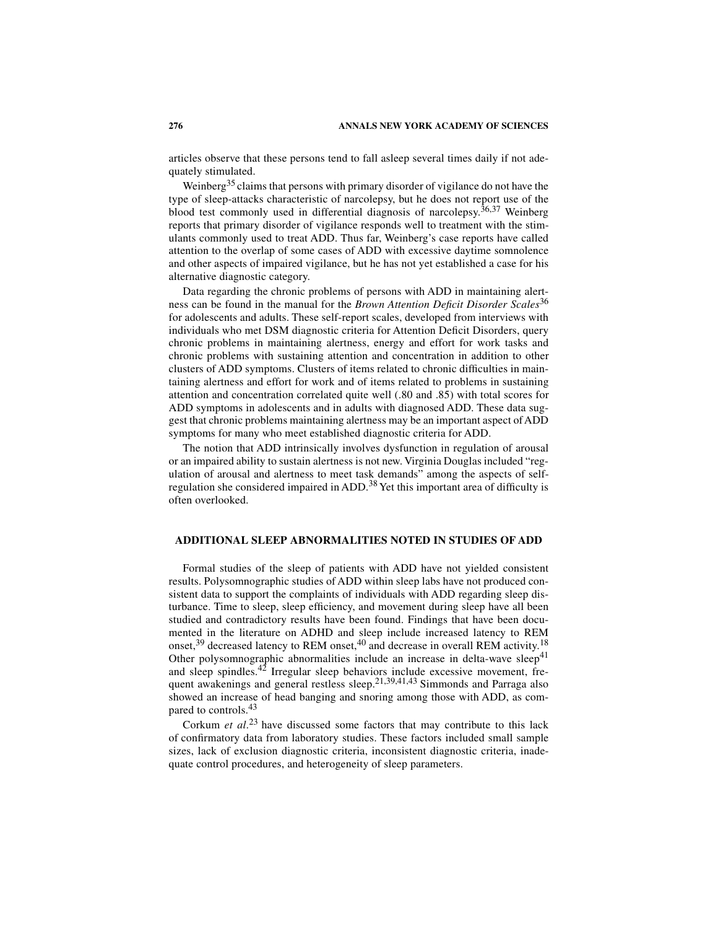articles observe that these persons tend to fall asleep several times daily if not adequately stimulated.

Weinberg<sup>35</sup> claims that persons with primary disorder of vigilance do not have the type of sleep-attacks characteristic of narcolepsy, but he does not report use of the blood test commonly used in differential diagnosis of narcolepsy.  $36,37$  Weinberg reports that primary disorder of vigilance responds well to treatment with the stimulants commonly used to treat ADD. Thus far, Weinberg's case reports have called attention to the overlap of some cases of ADD with excessive daytime somnolence and other aspects of impaired vigilance, but he has not yet established a case for his alternative diagnostic category.

Data regarding the chronic problems of persons with ADD in maintaining alertness can be found in the manual for the *Brown Attention Deficit Disorder Scales*<sup>36</sup> for adolescents and adults. These self-report scales, developed from interviews with individuals who met DSM diagnostic criteria for Attention Deficit Disorders, query chronic problems in maintaining alertness, energy and effort for work tasks and chronic problems with sustaining attention and concentration in addition to other clusters of ADD symptoms. Clusters of items related to chronic difficulties in maintaining alertness and effort for work and of items related to problems in sustaining attention and concentration correlated quite well (.80 and .85) with total scores for ADD symptoms in adolescents and in adults with diagnosed ADD. These data suggest that chronic problems maintaining alertness may be an important aspect of ADD symptoms for many who meet established diagnostic criteria for ADD.

The notion that ADD intrinsically involves dysfunction in regulation of arousal or an impaired ability to sustain alertness is not new. Virginia Douglas included "regulation of arousal and alertness to meet task demands" among the aspects of selfregulation she considered impaired in ADD.38 Yet this important area of difficulty is often overlooked.

# **ADDITIONAL SLEEP ABNORMALITIES NOTED IN STUDIES OF ADD**

Formal studies of the sleep of patients with ADD have not yielded consistent results. Polysomnographic studies of ADD within sleep labs have not produced consistent data to support the complaints of individuals with ADD regarding sleep disturbance. Time to sleep, sleep efficiency, and movement during sleep have all been studied and contradictory results have been found. Findings that have been documented in the literature on ADHD and sleep include increased latency to REM onset,<sup>39</sup> decreased latency to REM onset,<sup>40</sup> and decrease in overall REM activity.<sup>18</sup> Other polysomnographic abnormalities include an increase in delta-wave sleep<sup>41</sup> and sleep spindles. $42$  Irregular sleep behaviors include excessive movement, frequent awakenings and general restless sleep.<sup>21,39,41,43</sup> Simmonds and Parraga also showed an increase of head banging and snoring among those with ADD, as compared to controls.<sup>43</sup>

Corkum *et al.*<sup>23</sup> have discussed some factors that may contribute to this lack of confirmatory data from laboratory studies. These factors included small sample sizes, lack of exclusion diagnostic criteria, inconsistent diagnostic criteria, inadequate control procedures, and heterogeneity of sleep parameters.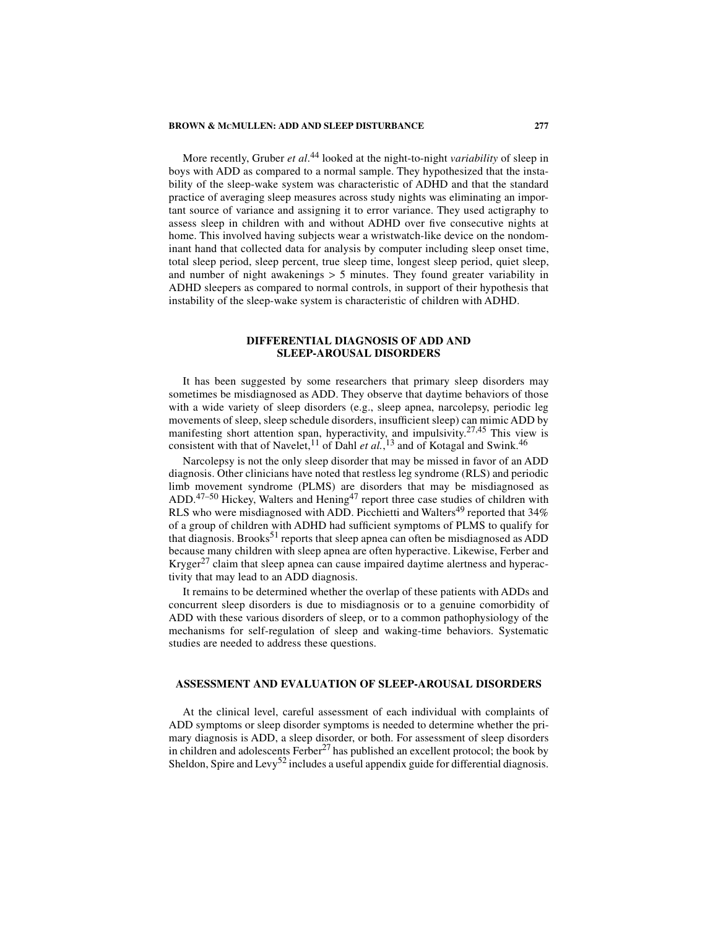More recently, Gruber *et al*. 44 looked at the night-to-night *variability* of sleep in boys with ADD as compared to a normal sample. They hypothesized that the instability of the sleep-wake system was characteristic of ADHD and that the standard practice of averaging sleep measures across study nights was eliminating an important source of variance and assigning it to error variance. They used actigraphy to assess sleep in children with and without ADHD over five consecutive nights at home. This involved having subjects wear a wristwatch-like device on the nondominant hand that collected data for analysis by computer including sleep onset time, total sleep period, sleep percent, true sleep time, longest sleep period, quiet sleep, and number of night awakenings  $> 5$  minutes. They found greater variability in ADHD sleepers as compared to normal controls, in support of their hypothesis that instability of the sleep-wake system is characteristic of children with ADHD.

## **DIFFERENTIAL DIAGNOSIS OF ADD AND SLEEP-AROUSAL DISORDERS**

It has been suggested by some researchers that primary sleep disorders may sometimes be misdiagnosed as ADD. They observe that daytime behaviors of those with a wide variety of sleep disorders (e.g., sleep apnea, narcolepsy, periodic leg movements of sleep, sleep schedule disorders, insufficient sleep) can mimic ADD by manifesting short attention span, hyperactivity, and impulsivity.27,45 This view is consistent with that of Navelet,<sup>11</sup> of Dahl *et al.*,<sup>13</sup> and of Kotagal and Swink.<sup>46</sup>

Narcolepsy is not the only sleep disorder that may be missed in favor of an ADD diagnosis. Other clinicians have noted that restless leg syndrome (RLS) and periodic limb movement syndrome (PLMS) are disorders that may be misdiagnosed as ADD.<sup>47–50</sup> Hickey, Walters and Hening<sup>47</sup> report three case studies of children with RLS who were misdiagnosed with ADD. Picchietti and Walters<sup>49</sup> reported that 34% of a group of children with ADHD had sufficient symptoms of PLMS to qualify for that diagnosis. Brooks<sup>51</sup> reports that sleep apnea can often be misdiagnosed as ADD because many children with sleep apnea are often hyperactive. Likewise, Ferber and Kryger<sup>27</sup> claim that sleep apnea can cause impaired daytime alertness and hyperactivity that may lead to an ADD diagnosis.

It remains to be determined whether the overlap of these patients with ADDs and concurrent sleep disorders is due to misdiagnosis or to a genuine comorbidity of ADD with these various disorders of sleep, or to a common pathophysiology of the mechanisms for self-regulation of sleep and waking-time behaviors. Systematic studies are needed to address these questions.

## **ASSESSMENT AND EVALUATION OF SLEEP-AROUSAL DISORDERS**

At the clinical level, careful assessment of each individual with complaints of ADD symptoms or sleep disorder symptoms is needed to determine whether the primary diagnosis is ADD, a sleep disorder, or both. For assessment of sleep disorders in children and adolescents  $Ferber^{27}$  has published an excellent protocol; the book by Sheldon, Spire and Levy<sup>52</sup> includes a useful appendix guide for differential diagnosis.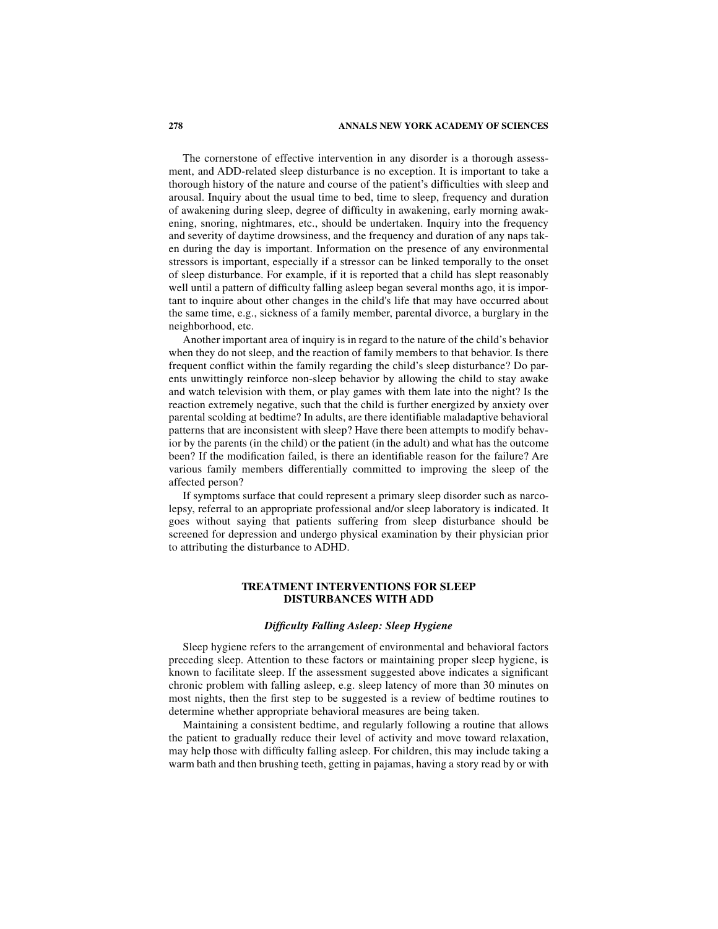#### **278 ANNALS NEW YORK ACADEMY OF SCIENCES**

The cornerstone of effective intervention in any disorder is a thorough assessment, and ADD-related sleep disturbance is no exception. It is important to take a thorough history of the nature and course of the patient's difficulties with sleep and arousal. Inquiry about the usual time to bed, time to sleep, frequency and duration of awakening during sleep, degree of difficulty in awakening, early morning awakening, snoring, nightmares, etc., should be undertaken. Inquiry into the frequency and severity of daytime drowsiness, and the frequency and duration of any naps taken during the day is important. Information on the presence of any environmental stressors is important, especially if a stressor can be linked temporally to the onset of sleep disturbance. For example, if it is reported that a child has slept reasonably well until a pattern of difficulty falling asleep began several months ago, it is important to inquire about other changes in the child's life that may have occurred about the same time, e.g., sickness of a family member, parental divorce, a burglary in the neighborhood, etc.

Another important area of inquiry is in regard to the nature of the child's behavior when they do not sleep, and the reaction of family members to that behavior. Is there frequent conflict within the family regarding the child's sleep disturbance? Do parents unwittingly reinforce non-sleep behavior by allowing the child to stay awake and watch television with them, or play games with them late into the night? Is the reaction extremely negative, such that the child is further energized by anxiety over parental scolding at bedtime? In adults, are there identifiable maladaptive behavioral patterns that are inconsistent with sleep? Have there been attempts to modify behavior by the parents (in the child) or the patient (in the adult) and what has the outcome been? If the modification failed, is there an identifiable reason for the failure? Are various family members differentially committed to improving the sleep of the affected person?

If symptoms surface that could represent a primary sleep disorder such as narcolepsy, referral to an appropriate professional and/or sleep laboratory is indicated. It goes without saying that patients suffering from sleep disturbance should be screened for depression and undergo physical examination by their physician prior to attributing the disturbance to ADHD.

# **TREATMENT INTERVENTIONS FOR SLEEP DISTURBANCES WITH ADD**

## *Difficulty Falling Asleep: Sleep Hygiene*

Sleep hygiene refers to the arrangement of environmental and behavioral factors preceding sleep. Attention to these factors or maintaining proper sleep hygiene, is known to facilitate sleep. If the assessment suggested above indicates a significant chronic problem with falling asleep, e.g. sleep latency of more than 30 minutes on most nights, then the first step to be suggested is a review of bedtime routines to determine whether appropriate behavioral measures are being taken.

Maintaining a consistent bedtime, and regularly following a routine that allows the patient to gradually reduce their level of activity and move toward relaxation, may help those with difficulty falling asleep. For children, this may include taking a warm bath and then brushing teeth, getting in pajamas, having a story read by or with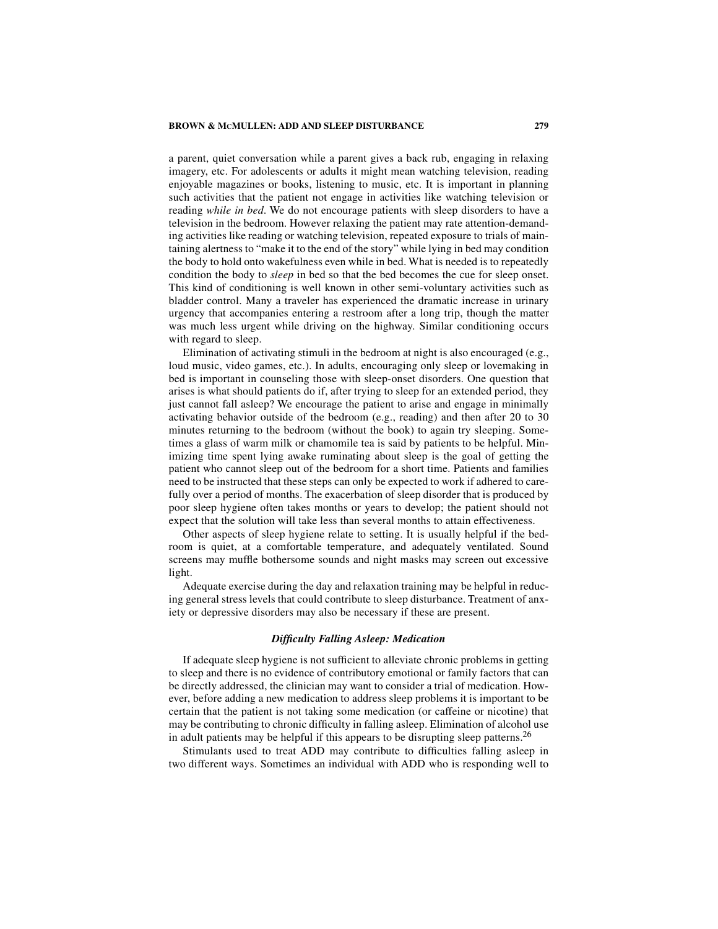a parent, quiet conversation while a parent gives a back rub, engaging in relaxing imagery, etc. For adolescents or adults it might mean watching television, reading enjoyable magazines or books, listening to music, etc. It is important in planning such activities that the patient not engage in activities like watching television or reading *while in bed*. We do not encourage patients with sleep disorders to have a television in the bedroom. However relaxing the patient may rate attention-demanding activities like reading or watching television, repeated exposure to trials of maintaining alertness to "make it to the end of the story" while lying in bed may condition the body to hold onto wakefulness even while in bed. What is needed is to repeatedly condition the body to *sleep* in bed so that the bed becomes the cue for sleep onset. This kind of conditioning is well known in other semi-voluntary activities such as bladder control. Many a traveler has experienced the dramatic increase in urinary urgency that accompanies entering a restroom after a long trip, though the matter was much less urgent while driving on the highway. Similar conditioning occurs with regard to sleep.

Elimination of activating stimuli in the bedroom at night is also encouraged (e.g., loud music, video games, etc.). In adults, encouraging only sleep or lovemaking in bed is important in counseling those with sleep-onset disorders. One question that arises is what should patients do if, after trying to sleep for an extended period, they just cannot fall asleep? We encourage the patient to arise and engage in minimally activating behavior outside of the bedroom (e.g., reading) and then after 20 to 30 minutes returning to the bedroom (without the book) to again try sleeping. Sometimes a glass of warm milk or chamomile tea is said by patients to be helpful. Minimizing time spent lying awake ruminating about sleep is the goal of getting the patient who cannot sleep out of the bedroom for a short time. Patients and families need to be instructed that these steps can only be expected to work if adhered to carefully over a period of months. The exacerbation of sleep disorder that is produced by poor sleep hygiene often takes months or years to develop; the patient should not expect that the solution will take less than several months to attain effectiveness.

Other aspects of sleep hygiene relate to setting. It is usually helpful if the bedroom is quiet, at a comfortable temperature, and adequately ventilated. Sound screens may muffle bothersome sounds and night masks may screen out excessive light.

Adequate exercise during the day and relaxation training may be helpful in reducing general stress levels that could contribute to sleep disturbance. Treatment of anxiety or depressive disorders may also be necessary if these are present.

#### *Difficulty Falling Asleep: Medication*

If adequate sleep hygiene is not sufficient to alleviate chronic problems in getting to sleep and there is no evidence of contributory emotional or family factors that can be directly addressed, the clinician may want to consider a trial of medication. However, before adding a new medication to address sleep problems it is important to be certain that the patient is not taking some medication (or caffeine or nicotine) that may be contributing to chronic difficulty in falling asleep. Elimination of alcohol use in adult patients may be helpful if this appears to be disrupting sleep patterns.<sup>26</sup>

Stimulants used to treat ADD may contribute to difficulties falling asleep in two different ways. Sometimes an individual with ADD who is responding well to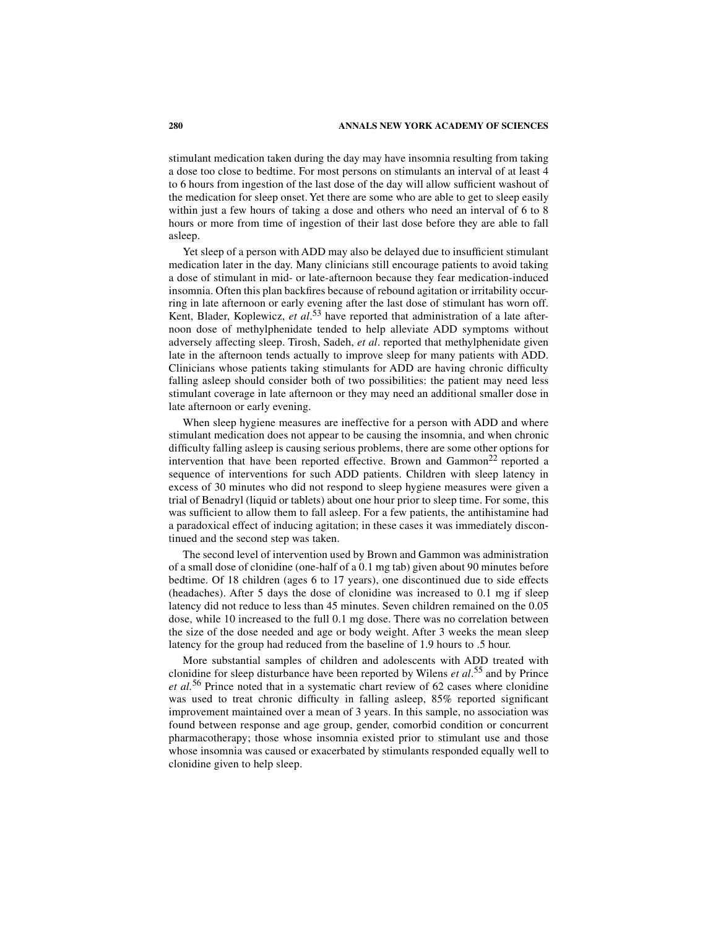stimulant medication taken during the day may have insomnia resulting from taking a dose too close to bedtime. For most persons on stimulants an interval of at least 4 to 6 hours from ingestion of the last dose of the day will allow sufficient washout of the medication for sleep onset. Yet there are some who are able to get to sleep easily within just a few hours of taking a dose and others who need an interval of 6 to 8 hours or more from time of ingestion of their last dose before they are able to fall asleep.

Yet sleep of a person with ADD may also be delayed due to insufficient stimulant medication later in the day. Many clinicians still encourage patients to avoid taking a dose of stimulant in mid- or late-afternoon because they fear medication-induced insomnia. Often this plan backfires because of rebound agitation or irritability occurring in late afternoon or early evening after the last dose of stimulant has worn off. Kent, Blader, Koplewicz, *et al*. 53 have reported that administration of a late afternoon dose of methylphenidate tended to help alleviate ADD symptoms without adversely affecting sleep. Tirosh, Sadeh, *et al*. reported that methylphenidate given late in the afternoon tends actually to improve sleep for many patients with ADD. Clinicians whose patients taking stimulants for ADD are having chronic difficulty falling asleep should consider both of two possibilities: the patient may need less stimulant coverage in late afternoon or they may need an additional smaller dose in late afternoon or early evening.

When sleep hygiene measures are ineffective for a person with ADD and where stimulant medication does not appear to be causing the insomnia, and when chronic difficulty falling asleep is causing serious problems, there are some other options for intervention that have been reported effective. Brown and  $Gamma^{22}$  reported a sequence of interventions for such ADD patients. Children with sleep latency in excess of 30 minutes who did not respond to sleep hygiene measures were given a trial of Benadryl (liquid or tablets) about one hour prior to sleep time. For some, this was sufficient to allow them to fall asleep. For a few patients, the antihistamine had a paradoxical effect of inducing agitation; in these cases it was immediately discontinued and the second step was taken.

The second level of intervention used by Brown and Gammon was administration of a small dose of clonidine (one-half of a 0.1 mg tab) given about 90 minutes before bedtime. Of 18 children (ages 6 to 17 years), one discontinued due to side effects (headaches). After 5 days the dose of clonidine was increased to 0.1 mg if sleep latency did not reduce to less than 45 minutes. Seven children remained on the 0.05 dose, while 10 increased to the full 0.1 mg dose. There was no correlation between the size of the dose needed and age or body weight. After 3 weeks the mean sleep latency for the group had reduced from the baseline of 1.9 hours to .5 hour.

More substantial samples of children and adolescents with ADD treated with clonidine for sleep disturbance have been reported by Wilens *et al*. 55 and by Prince *et al.*56 Prince noted that in a systematic chart review of 62 cases where clonidine was used to treat chronic difficulty in falling asleep,  $85\%$  reported significant improvement maintained over a mean of 3 years. In this sample, no association was found between response and age group, gender, comorbid condition or concurrent pharmacotherapy; those whose insomnia existed prior to stimulant use and those whose insomnia was caused or exacerbated by stimulants responded equally well to clonidine given to help sleep.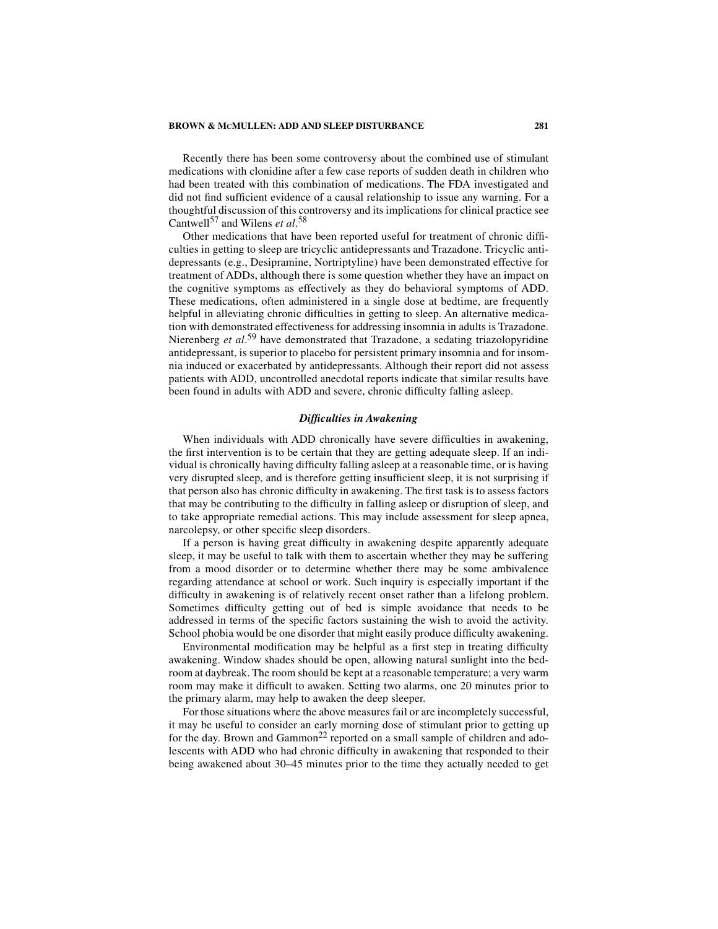Recently there has been some controversy about the combined use of stimulant medications with clonidine after a few case reports of sudden death in children who had been treated with this combination of medications. The FDA investigated and did not find sufficient evidence of a causal relationship to issue any warning. For a thoughtful discussion of this controversy and its implications for clinical practice see Cantwell<sup>57</sup> and Wilens *et al.*<sup>58</sup>

Other medications that have been reported useful for treatment of chronic difficulties in getting to sleep are tricyclic antidepressants and Trazadone. Tricyclic antidepressants (e.g., Desipramine, Nortriptyline) have been demonstrated effective for treatment of ADDs, although there is some question whether they have an impact on the cognitive symptoms as effectively as they do behavioral symptoms of ADD. These medications, often administered in a single dose at bedtime, are frequently helpful in alleviating chronic difficulties in getting to sleep. An alternative medication with demonstrated effectiveness for addressing insomnia in adults is Trazadone. Nierenberg *et al*. 59 have demonstrated that Trazadone, a sedating triazolopyridine antidepressant, is superior to placebo for persistent primary insomnia and for insomnia induced or exacerbated by antidepressants. Although their report did not assess patients with ADD, uncontrolled anecdotal reports indicate that similar results have been found in adults with ADD and severe, chronic difficulty falling asleep.

## *Difficulties in Awakening*

When individuals with ADD chronically have severe difficulties in awakening, the first intervention is to be certain that they are getting adequate sleep. If an individual is chronically having difficulty falling asleep at a reasonable time, or is having very disrupted sleep, and is therefore getting insufficient sleep, it is not surprising if that person also has chronic difficulty in awakening. The first task is to assess factors that may be contributing to the difficulty in falling asleep or disruption of sleep, and to take appropriate remedial actions. This may include assessment for sleep apnea, narcolepsy, or other specific sleep disorders.

If a person is having great difficulty in awakening despite apparently adequate sleep, it may be useful to talk with them to ascertain whether they may be suffering from a mood disorder or to determine whether there may be some ambivalence regarding attendance at school or work. Such inquiry is especially important if the difficulty in awakening is of relatively recent onset rather than a lifelong problem. Sometimes difficulty getting out of bed is simple avoidance that needs to be addressed in terms of the specific factors sustaining the wish to avoid the activity. School phobia would be one disorder that might easily produce difficulty awakening.

Environmental modification may be helpful as a first step in treating difficulty awakening. Window shades should be open, allowing natural sunlight into the bedroom at daybreak. The room should be kept at a reasonable temperature; a very warm room may make it difficult to awaken. Setting two alarms, one 20 minutes prior to the primary alarm, may help to awaken the deep sleeper.

For those situations where the above measures fail or are incompletely successful, it may be useful to consider an early morning dose of stimulant prior to getting up for the day. Brown and Gammon<sup>22</sup> reported on a small sample of children and adolescents with ADD who had chronic difficulty in awakening that responded to their being awakened about 30–45 minutes prior to the time they actually needed to get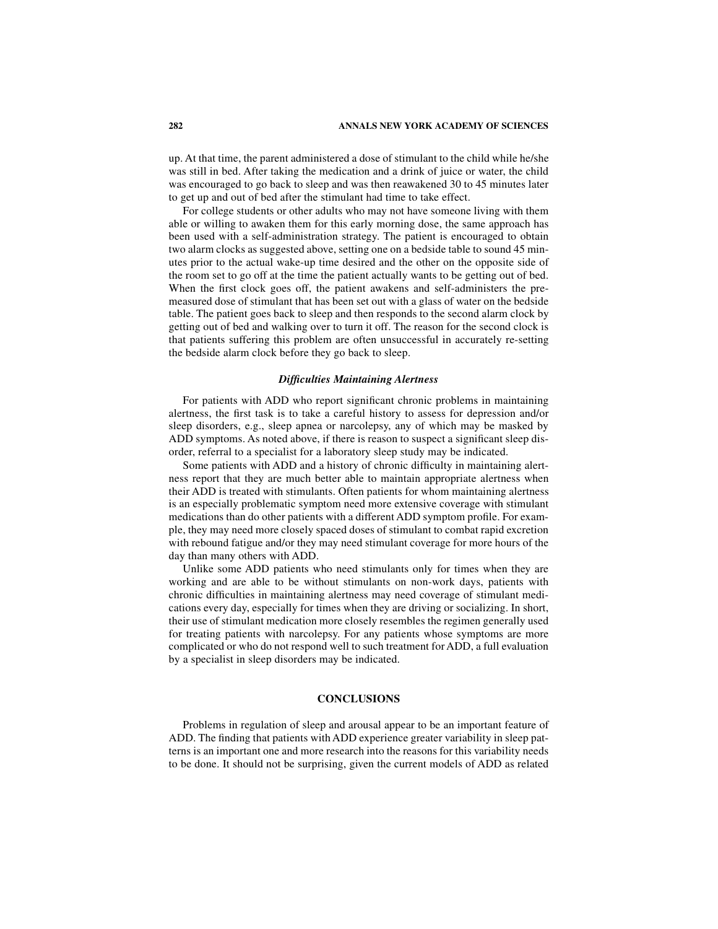#### **282 ANNALS NEW YORK ACADEMY OF SCIENCES**

up. At that time, the parent administered a dose of stimulant to the child while he/she was still in bed. After taking the medication and a drink of juice or water, the child was encouraged to go back to sleep and was then reawakened 30 to 45 minutes later to get up and out of bed after the stimulant had time to take effect.

For college students or other adults who may not have someone living with them able or willing to awaken them for this early morning dose, the same approach has been used with a self-administration strategy. The patient is encouraged to obtain two alarm clocks as suggested above, setting one on a bedside table to sound 45 minutes prior to the actual wake-up time desired and the other on the opposite side of the room set to go off at the time the patient actually wants to be getting out of bed. When the first clock goes off, the patient awakens and self-administers the premeasured dose of stimulant that has been set out with a glass of water on the bedside table. The patient goes back to sleep and then responds to the second alarm clock by getting out of bed and walking over to turn it off. The reason for the second clock is that patients suffering this problem are often unsuccessful in accurately re-setting the bedside alarm clock before they go back to sleep.

## *Difficulties Maintaining Alertness*

For patients with ADD who report significant chronic problems in maintaining alertness, the first task is to take a careful history to assess for depression and/or sleep disorders, e.g., sleep apnea or narcolepsy, any of which may be masked by ADD symptoms. As noted above, if there is reason to suspect a significant sleep disorder, referral to a specialist for a laboratory sleep study may be indicated.

Some patients with ADD and a history of chronic difficulty in maintaining alertness report that they are much better able to maintain appropriate alertness when their ADD is treated with stimulants. Often patients for whom maintaining alertness is an especially problematic symptom need more extensive coverage with stimulant medications than do other patients with a different ADD symptom profile. For example, they may need more closely spaced doses of stimulant to combat rapid excretion with rebound fatigue and/or they may need stimulant coverage for more hours of the day than many others with ADD.

Unlike some ADD patients who need stimulants only for times when they are working and are able to be without stimulants on non-work days, patients with chronic difficulties in maintaining alertness may need coverage of stimulant medications every day, especially for times when they are driving or socializing. In short, their use of stimulant medication more closely resembles the regimen generally used for treating patients with narcolepsy. For any patients whose symptoms are more complicated or who do not respond well to such treatment for ADD, a full evaluation by a specialist in sleep disorders may be indicated.

## **CONCLUSIONS**

Problems in regulation of sleep and arousal appear to be an important feature of ADD. The finding that patients with ADD experience greater variability in sleep patterns is an important one and more research into the reasons for this variability needs to be done. It should not be surprising, given the current models of ADD as related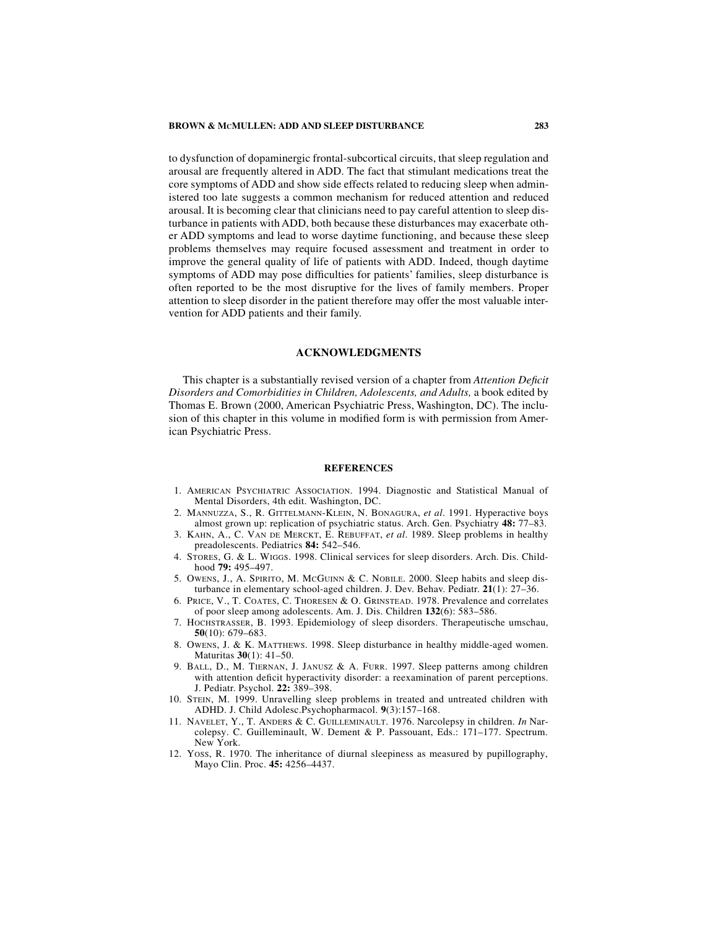to dysfunction of dopaminergic frontal-subcortical circuits, that sleep regulation and arousal are frequently altered in ADD. The fact that stimulant medications treat the core symptoms of ADD and show side effects related to reducing sleep when administered too late suggests a common mechanism for reduced attention and reduced arousal. It is becoming clear that clinicians need to pay careful attention to sleep disturbance in patients with ADD, both because these disturbances may exacerbate other ADD symptoms and lead to worse daytime functioning, and because these sleep problems themselves may require focused assessment and treatment in order to improve the general quality of life of patients with ADD. Indeed, though daytime symptoms of ADD may pose difficulties for patients' families, sleep disturbance is often reported to be the most disruptive for the lives of family members. Proper attention to sleep disorder in the patient therefore may offer the most valuable intervention for ADD patients and their family.

#### **ACKNOWLEDGMENTS**

This chapter is a substantially revised version of a chapter from *Attention Deficit Disorders and Comorbidities in Children, Adolescents, and Adults,* a book edited by Thomas E. Brown (2000, American Psychiatric Press, Washington, DC). The inclusion of this chapter in this volume in modified form is with permission from American Psychiatric Press.

#### **REFERENCES**

- 1. AMERICAN PSYCHIATRIC ASSOCIATION. 1994. Diagnostic and Statistical Manual of Mental Disorders, 4th edit. Washington, DC.
- 2. MANNUZZA, S., R. GITTELMANN-KLEIN, N. BONAGURA, *et al*. 1991. Hyperactive boys almost grown up: replication of psychiatric status. Arch. Gen. Psychiatry **48:** 77–83.
- 3. KAHN, A., C. VAN DE MERCKT, E. REBUFFAT, *et al*. 1989. Sleep problems in healthy preadolescents. Pediatrics **84:** 542–546.
- 4. STORES, G. & L. WIGGS. 1998. Clinical services for sleep disorders. Arch. Dis. Childhood **79:** 495–497.
- 5. OWENS, J., A. SPIRITO, M. MCGUINN & C. NOBILE. 2000. Sleep habits and sleep disturbance in elementary school-aged children. J. Dev. Behav. Pediatr. **21**(1): 27–36.
- 6. PRICE, V., T. COATES, C. THORESEN & O. GRINSTEAD. 1978. Prevalence and correlates of poor sleep among adolescents. Am. J. Dis. Children **132**(6): 583–586.
- 7. HOCHSTRASSER, B. 1993. Epidemiology of sleep disorders. Therapeutische umschau, **50**(10): 679–683.
- 8. OWENS, J. & K. MATTHEWS. 1998. Sleep disturbance in healthy middle-aged women. Maturitas **30**(1): 41–50.
- 9. BALL, D., M. TIERNAN, J. JANUSZ & A. FURR. 1997. Sleep patterns among children with attention deficit hyperactivity disorder: a reexamination of parent perceptions. J. Pediatr. Psychol. **22:** 389–398.
- 10. STEIN, M. 1999. Unravelling sleep problems in treated and untreated children with ADHD. J. Child Adolesc.Psychopharmacol. **9**(3):157–168.
- 11. NAVELET, Y., T. ANDERS & C. GUILLEMINAULT. 1976. Narcolepsy in children. *In* Narcolepsy. C. Guilleminault, W. Dement & P. Passouant, Eds.: 171–177. Spectrum. New York.
- 12. YOSS, R. 1970. The inheritance of diurnal sleepiness as measured by pupillography, Mayo Clin. Proc. **45:** 4256–4437.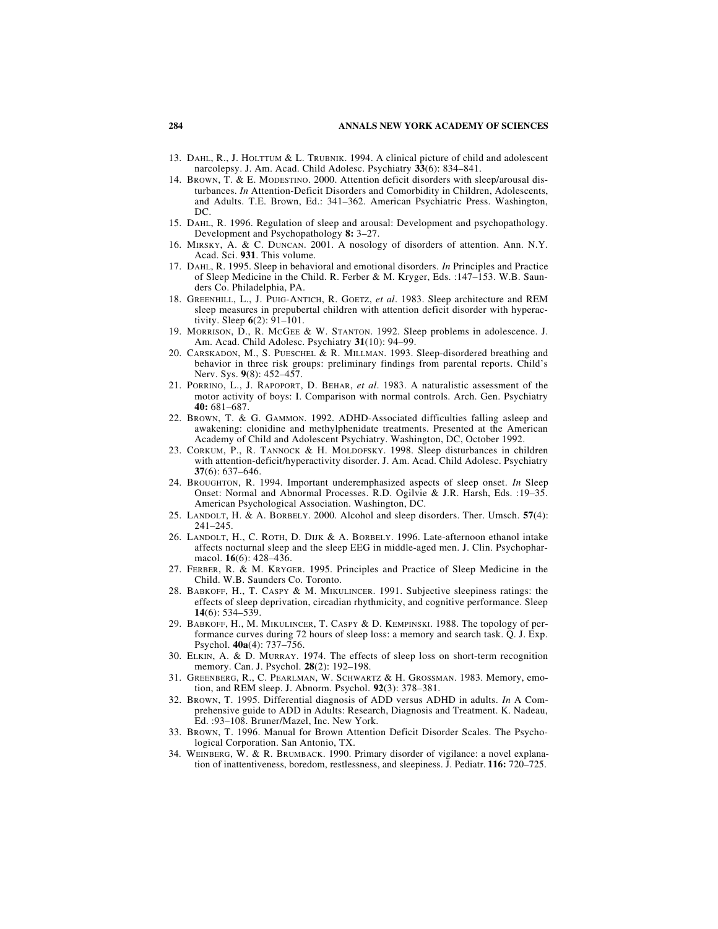- 13. DAHL, R., J. HOLTTUM & L. TRUBNIK. 1994. A clinical picture of child and adolescent narcolepsy. J. Am. Acad. Child Adolesc. Psychiatry **33**(6): 834–841.
- 14. BROWN, T. & E. MODESTINO. 2000. Attention deficit disorders with sleep/arousal disturbances. *In* Attention-Deficit Disorders and Comorbidity in Children, Adolescents, and Adults. T.E. Brown, Ed.: 341–362. American Psychiatric Press. Washington,  $DC$
- 15. DAHL, R. 1996. Regulation of sleep and arousal: Development and psychopathology. Development and Psychopathology **8:** 3–27.
- 16. MIRSKY, A. & C. DUNCAN. 2001. A nosology of disorders of attention. Ann. N.Y. Acad. Sci. **931**. This volume.
- 17. DAHL, R. 1995. Sleep in behavioral and emotional disorders. *In* Principles and Practice of Sleep Medicine in the Child. R. Ferber & M. Kryger, Eds. :147–153. W.B. Saunders Co. Philadelphia, PA.
- 18. GREENHILL, L., J. PUIG-ANTICH, R. GOETZ, *et al*. 1983. Sleep architecture and REM sleep measures in prepubertal children with attention deficit disorder with hyperactivity. Sleep **6**(2): 91–101.
- 19. MORRISON, D., R. MCGEE & W. STANTON. 1992. Sleep problems in adolescence. J. Am. Acad. Child Adolesc. Psychiatry **31**(10): 94–99.
- 20. CARSKADON, M., S. PUESCHEL & R. MILLMAN. 1993. Sleep-disordered breathing and behavior in three risk groups: preliminary findings from parental reports. Child's Nerv. Sys. **9**(8): 452–457.
- 21. PORRINO, L., J. RAPOPORT, D. BEHAR, *et al*. 1983. A naturalistic assessment of the motor activity of boys: I. Comparison with normal controls. Arch. Gen. Psychiatry **40:** 681–687.
- 22. BROWN, T. & G. GAMMON. 1992. ADHD-Associated difficulties falling asleep and awakening: clonidine and methylphenidate treatments. Presented at the American Academy of Child and Adolescent Psychiatry. Washington, DC, October 1992.
- 23. CORKUM, P., R. TANNOCK & H. MOLDOFSKY. 1998. Sleep disturbances in children with attention-deficit/hyperactivity disorder. J. Am. Acad. Child Adolesc. Psychiatry **37**(6): 637–646.
- 24. BROUGHTON, R. 1994. Important underemphasized aspects of sleep onset. *In* Sleep Onset: Normal and Abnormal Processes. R.D. Ogilvie & J.R. Harsh, Eds. :19–35. American Psychological Association. Washington, DC.
- 25. LANDOLT, H. & A. BORBELY. 2000. Alcohol and sleep disorders. Ther. Umsch. **57**(4): 241–245.
- 26. LANDOLT, H., C. ROTH, D. DIJK & A. BORBELY. 1996. Late-afternoon ethanol intake affects nocturnal sleep and the sleep EEG in middle-aged men. J. Clin. Psychopharmacol. **16**(6): 428–436.
- 27. FERBER, R. & M. KRYGER. 1995. Principles and Practice of Sleep Medicine in the Child. W.B. Saunders Co. Toronto.
- 28. BABKOFF, H., T. CASPY & M. MIKULINCER. 1991. Subjective sleepiness ratings: the effects of sleep deprivation, circadian rhythmicity, and cognitive performance. Sleep **14**(6): 534–539.
- 29. BABKOFF, H., M. MIKULINCER, T. CASPY & D. KEMPINSKI. 1988. The topology of performance curves during 72 hours of sleep loss: a memory and search task. Q. J. Exp. Psychol. **40a**(4): 737–756.
- 30. ELKIN, A. & D. MURRAY. 1974. The effects of sleep loss on short-term recognition memory. Can. J. Psychol. **28**(2): 192–198.
- 31. GREENBERG, R., C. PEARLMAN, W. SCHWARTZ & H. GROSSMAN. 1983. Memory, emotion, and REM sleep. J. Abnorm. Psychol. **92**(3): 378–381.
- 32. BROWN, T. 1995. Differential diagnosis of ADD versus ADHD in adults. *In* A Comprehensive guide to ADD in Adults: Research, Diagnosis and Treatment. K. Nadeau, Ed. :93–108. Bruner/Mazel, Inc. New York.
- 33. BROWN, T. 1996. Manual for Brown Attention Deficit Disorder Scales. The Psychological Corporation. San Antonio, TX.
- 34. WEINBERG, W. & R. BRUMBACK. 1990. Primary disorder of vigilance: a novel explanation of inattentiveness, boredom, restlessness, and sleepiness. J. Pediatr. **116:** 720–725.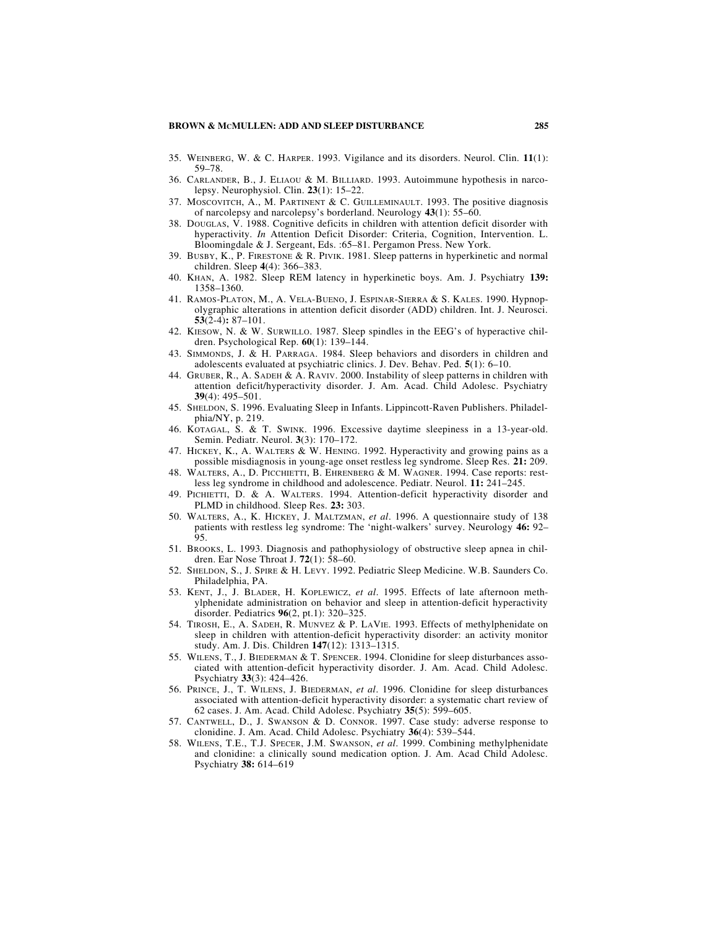- 35. WEINBERG, W. & C. HARPER. 1993. Vigilance and its disorders. Neurol. Clin. **11**(1): 59–78.
- 36. CARLANDER, B., J. ELIAOU & M. BILLIARD. 1993. Autoimmune hypothesis in narcolepsy. Neurophysiol. Clin. **23**(1): 15–22.
- 37. MOSCOVITCH, A., M. PARTINENT & C. GUILLEMINAULT. 1993. The positive diagnosis of narcolepsy and narcolepsy's borderland. Neurology **43**(1): 55–60.
- 38. DOUGLAS, V. 1988. Cognitive deficits in children with attention deficit disorder with hyperactivity. *In* Attention Deficit Disorder: Criteria, Cognition, Intervention. L*.* Bloomingdale & J. Sergeant, Eds. :65–81. Pergamon Press. New York.
- 39. BUSBY, K., P. FIRESTONE & R. PIVIK. 1981. Sleep patterns in hyperkinetic and normal children. Sleep **4**(4): 366–383.
- 40. KHAN, A. 1982. Sleep REM latency in hyperkinetic boys. Am. J. Psychiatry **139:** 1358–1360.
- 41. RAMOS-PLATON, M., A. VELA-BUENO, J. ESPINAR-SIERRA & S. KALES. 1990. Hypnopolygraphic alterations in attention deficit disorder (ADD) children. Int. J. Neurosci. **53**(2-4)**:** 87–101.
- 42. KIESOW, N. & W. SURWILLO. 1987. Sleep spindles in the EEG's of hyperactive children. Psychological Rep. **60**(1): 139–144.
- 43. SIMMONDS, J. & H. PARRAGA. 1984. Sleep behaviors and disorders in children and adolescents evaluated at psychiatric clinics. J. Dev. Behav. Ped. **5**(1): 6–10.
- 44. GRUBER, R., A. SADEH & A. RAVIV. 2000. Instability of sleep patterns in children with attention deficit/hyperactivity disorder. J. Am. Acad. Child Adolesc. Psychiatry **39**(4): 495–501.
- 45. SHELDON, S. 1996. Evaluating Sleep in Infants. Lippincott-Raven Publishers. Philadelphia/NY, p. 219.
- 46. KOTAGAL, S. & T. SWINK. 1996. Excessive daytime sleepiness in a 13-year-old. Semin. Pediatr. Neurol. **3**(3): 170–172.
- 47. HICKEY, K., A. WALTERS & W. HENING. 1992. Hyperactivity and growing pains as a possible misdiagnosis in young-age onset restless leg syndrome. Sleep Res. **21:** 209.
- 48. WALTERS, A., D. PICCHIETTI, B. EHRENBERG & M. WAGNER. 1994. Case reports: restless leg syndrome in childhood and adolescence. Pediatr. Neurol. **11:** 241–245.
- 49. PICHIETTI, D. & A. WALTERS. 1994. Attention-deficit hyperactivity disorder and PLMD in childhood. Sleep Res. **23:** 303.
- 50. WALTERS, A., K. HICKEY, J. MALTZMAN, *et al*. 1996. A questionnaire study of 138 patients with restless leg syndrome: The 'night-walkers' survey. Neurology **46:** 92– 95.
- 51. BROOKS, L. 1993. Diagnosis and pathophysiology of obstructive sleep apnea in children. Ear Nose Throat J. **72**(1): 58–60.
- 52. SHELDON, S., J. SPIRE & H. LEVY. 1992. Pediatric Sleep Medicine. W.B. Saunders Co. Philadelphia, PA.
- 53. KENT, J., J. BLADER, H. KOPLEWICZ, *et al*. 1995. Effects of late afternoon methylphenidate administration on behavior and sleep in attention-deficit hyperactivity disorder. Pediatrics **96**(2, pt.1): 320–325.
- 54. TIROSH, E., A. SADEH, R. MUNVEZ & P. LAVIE. 1993. Effects of methylphenidate on sleep in children with attention-deficit hyperactivity disorder: an activity monitor study. Am. J. Dis. Children **147**(12): 1313–1315.
- 55. WILENS, T., J. BIEDERMAN & T. SPENCER. 1994. Clonidine for sleep disturbances associated with attention-deficit hyperactivity disorder. J. Am. Acad. Child Adolesc. Psychiatry **33**(3): 424–426.
- 56. PRINCE, J., T. WILENS, J. BIEDERMAN, *et al*. 1996. Clonidine for sleep disturbances associated with attention-deficit hyperactivity disorder: a systematic chart review of 62 cases. J. Am. Acad. Child Adolesc. Psychiatry **35**(5): 599–605.
- 57. CANTWELL, D., J. SWANSON & D. CONNOR. 1997. Case study: adverse response to clonidine. J. Am. Acad. Child Adolesc. Psychiatry **36**(4): 539–544.
- 58. WILENS, T.E., T.J. SPECER, J.M. SWANSON, *et al*. 1999. Combining methylphenidate and clonidine: a clinically sound medication option. J. Am. Acad Child Adolesc. Psychiatry **38:** 614–619